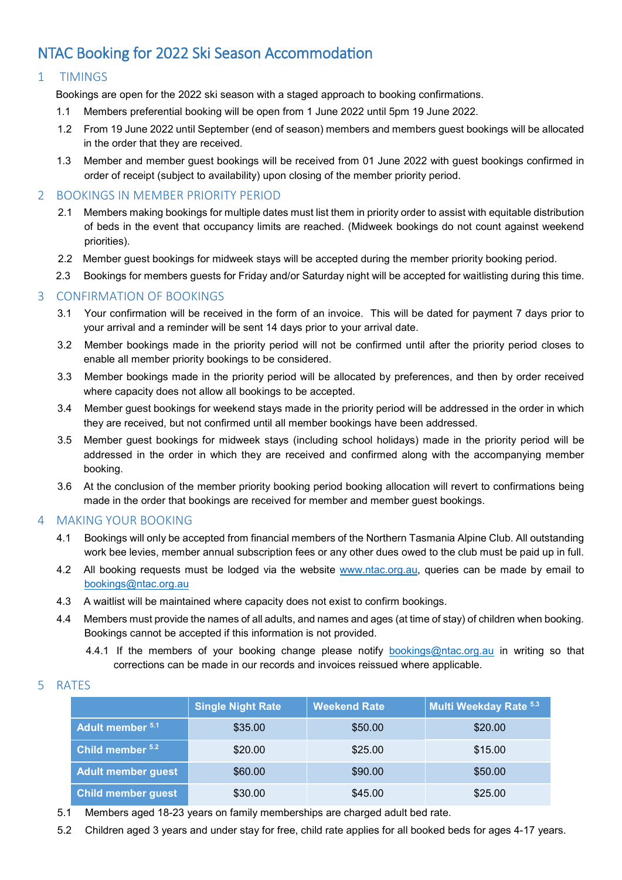# NTAC Booking for 2022 Ski Season Accommodation

## 1 TIMINGS

Bookings are open for the 2022 ski season with a staged approach to booking confirmations.

- 1.1 Members preferential booking will be open from 1 June 2022 until 5pm 19 June 2022.
- 1.2 From 19 June 2022 until September (end of season) members and members guest bookings will be allocated in the order that they are received.
- 1.3 Member and member guest bookings will be received from 01 June 2022 with guest bookings confirmed in order of receipt (subject to availability) upon closing of the member priority period.

### 2 BOOKINGS IN MEMBER PRIORITY PERIOD

- 2.1 Members making bookings for multiple dates must list them in priority order to assist with equitable distribution of beds in the event that occupancy limits are reached. (Midweek bookings do not count against weekend priorities).
- 2.2 Member guest bookings for midweek stays will be accepted during the member priority booking period.
- 2.3 Bookings for members guests for Friday and/or Saturday night will be accepted for waitlisting during this time.

## 3 CONFIRMATION OF BOOKINGS

- 3.1 Your confirmation will be received in the form of an invoice. This will be dated for payment 7 days prior to your arrival and a reminder will be sent 14 days prior to your arrival date.
- 3.2 Member bookings made in the priority period will not be confirmed until after the priority period closes to enable all member priority bookings to be considered.
- 3.3 Member bookings made in the priority period will be allocated by preferences, and then by order received where capacity does not allow all bookings to be accepted.
- 3.4 Member guest bookings for weekend stays made in the priority period will be addressed in the order in which they are received, but not confirmed until all member bookings have been addressed.
- 3.5 Member guest bookings for midweek stays (including school holidays) made in the priority period will be addressed in the order in which they are received and confirmed along with the accompanying member booking.
- 3.6 At the conclusion of the member priority booking period booking allocation will revert to confirmations being made in the order that bookings are received for member and member guest bookings.

### 4 MAKING YOUR BOOKING

- 4.1 Bookings will only be accepted from financial members of the Northern Tasmania Alpine Club. All outstanding work bee levies, member annual subscription fees or any other dues owed to the club must be paid up in full.
- 4.2 All booking requests must be lodged via the website www.ntac.org.au, queries can be made by email to [bookings@ntac.org.au](mailto:bookings@ntac.org.au)
- 4.3 A waitlist will be maintained where capacity does not exist to confirm bookings.
- 4.4 Members must provide the names of all adults, and names and ages (at time of stay) of children when booking. Bookings cannot be accepted if this information is not provided.
	- 4.4.1 If the members of your booking change please notify [bookings@ntac.org.au](mailto:bookings@ntac.org.au) in writing so that corrections can be made in our records and invoices reissued where applicable.

#### 5 RATES

|                           | <b>Single Night Rate</b> | <b>Weekend Rate</b> | Multi Weekday Rate 5.3 |
|---------------------------|--------------------------|---------------------|------------------------|
| Adult member 5.1          | \$35.00                  | \$50.00             | \$20.00                |
| Child member 5.2          | \$20.00                  | \$25.00             | \$15.00                |
| <b>Adult member guest</b> | \$60.00                  | \$90.00             | \$50.00                |
| <b>Child member guest</b> | \$30.00                  | \$45.00             | \$25.00                |

- 5.1 Members aged 18-23 years on family memberships are charged adult bed rate.
- 5.2 Children aged 3 years and under stay for free, child rate applies for all booked beds for ages 4-17 years.